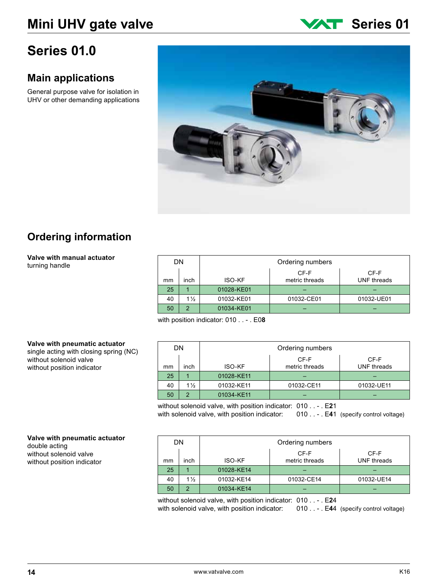# **Series 01.0**

# **Main applications**

General purpose valve for isolation in UHV or other demanding applications



# **Ordering information**

#### **Valve with manual actuator** turning handle

| DN |                |               | Ordering numbers       |                     |
|----|----------------|---------------|------------------------|---------------------|
| mm | inch           | <b>ISO-KF</b> | CF-F<br>metric threads | CF-F<br>UNF threads |
| 25 |                | 01028-KE01    |                        |                     |
| 40 | $1\frac{1}{2}$ | 01032-KE01    | 01032-CE01             | 01032-UE01          |
| 50 | 2              | 01034-KE01    |                        |                     |

with position indicator: 010 . . - . E0**8**

### **Valve with pneumatic actuator**

single acting with closing spring (NC) without solenoid valve without position indicator

| DN. |                | Ordering numbers |                        |                            |  |  |
|-----|----------------|------------------|------------------------|----------------------------|--|--|
| mm  | inch           | <b>ISO-KF</b>    | CF-F<br>metric threads | CF-F<br><b>UNF</b> threads |  |  |
| 25  |                | 01028-KE11       |                        |                            |  |  |
| 40  | $1\frac{1}{2}$ | 01032-KE11       | 01032-CE11             | 01032-UE11                 |  |  |
| 50  | 2              | 01034-KE11       |                        |                            |  |  |

without solenoid valve, with position indicator: 010 . . - . E**2**1 with solenoid valve, with position indicator:

| 010 $\ldots$ - . E41 (specify control voltage) |  |  |  |
|------------------------------------------------|--|--|--|
|                                                |  |  |  |

#### **Valve with pneumatic actuator** double acting without solenoid valve without position indicator

| DN |                | Ordering numbers |                        |                            |  |  |
|----|----------------|------------------|------------------------|----------------------------|--|--|
| mm | inch           | <b>ISO-KF</b>    | CF-F<br>metric threads | CF-F<br><b>UNF</b> threads |  |  |
| 25 |                | 01028-KE14       |                        |                            |  |  |
| 40 | $1\frac{1}{2}$ | 01032-KE14       | 01032-CE14             | 01032-UE14                 |  |  |
| 50 | ົ              | 01034-KE14       |                        |                            |  |  |

without solenoid valve, with position indicator: 010 . . - . E**2**4 with solenoid valve, with position indicator: 010 . . - . E44 (specify control voltage)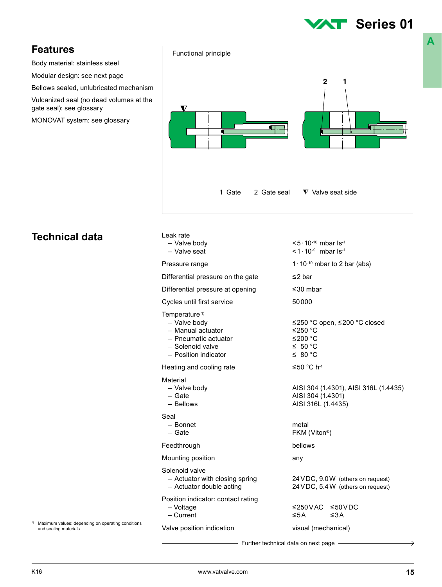# **Series 01**

Body material: stainless steel

Modular design: see next page

Bellows sealed, unlubricated mechanism

Vulcanized seal (no dead volumes at the gate seal): see glossary

MONOVAT system: see glossary



# **Technical data**

| Leak rate                                                                                                                          |                                                                                                 |
|------------------------------------------------------------------------------------------------------------------------------------|-------------------------------------------------------------------------------------------------|
| - Valve body<br>- Valve seat                                                                                                       | $< 5 \cdot 10^{-10}$ mbar Is <sup>-1</sup><br><1 $\cdot$ 10 <sup>-9</sup> mbar Is <sup>-1</sup> |
| Pressure range                                                                                                                     | $1 \cdot 10^{-10}$ mbar to 2 bar (abs)                                                          |
| Differential pressure on the gate                                                                                                  | $\leq$ 2 bar                                                                                    |
| Differential pressure at opening                                                                                                   | $\leq$ 30 mbar                                                                                  |
| Cycles until first service                                                                                                         | 50000                                                                                           |
| Temperature <sup>1)</sup><br>- Valve body<br>- Manual actuator<br>- Pneumatic actuator<br>- Solenoid valve<br>- Position indicator | ≤250 °C open, ≤200 °C closed<br>≤250 °C<br>≤200 °C<br>$\leq 50$ °C<br>$\leq 80^{\circ}$ C       |
| Heating and cooling rate                                                                                                           | ≤50 °C h <sup>-1</sup>                                                                          |
| Material<br>- Valve body<br>$-$ Gate<br>- Bellows                                                                                  | AISI 304 (1.4301), AISI 316L (1.4435)<br>AISI 304 (1.4301)<br>AISI 316L (1.4435)                |
| Seal<br>- Bonnet<br>$-$ Gate                                                                                                       | metal<br>FKM (Viton®)                                                                           |
| Feedthrough                                                                                                                        | bellows                                                                                         |
| Mounting position                                                                                                                  | any                                                                                             |
| Solenoid valve<br>- Actuator with closing spring<br>- Actuator double acting                                                       | 24 VDC, 9.0 W (others on request)<br>24 VDC, 5.4 W (others on request)                          |
| Position indicator: contact rating<br>- Voltage<br>$-$ Current                                                                     | ≤250VAC ≤50VDC<br>$\leq$ 5 A<br>$\leq 3A$                                                       |
| Valve position indication                                                                                                          | visual (mechanical)                                                                             |
|                                                                                                                                    |                                                                                                 |

Further technical data on next page

1) Maximum values: depending on operating conditions and sealing materials

 $\rightarrow$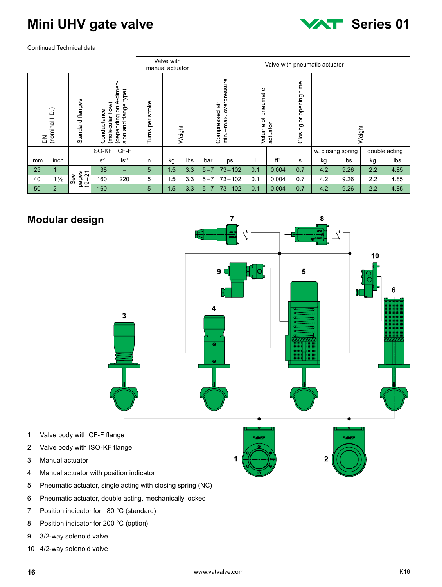# **Mini UHV gate valve Series 01**



#### Continued Technical data

|    |                       |                       |                                 |                                                               |                        | Valve with<br>manual actuator |        |         |                                                       |                        |                 |                                 | Valve with pneumatic actuator |                   |               |      |
|----|-----------------------|-----------------------|---------------------------------|---------------------------------------------------------------|------------------------|-------------------------------|--------|---------|-------------------------------------------------------|------------------------|-----------------|---------------------------------|-------------------------------|-------------------|---------------|------|
|    | DN<br>(nominal I. D.) | flanges<br>Standard   | (molecular flow)<br>Conductance | -dimen-<br>type)<br>₹<br>and flange<br>δ<br>(depending<br>sin | stroke<br>per<br>Turns |                               | Weight |         | overpressure<br>ंत<br>Compressed<br>max.<br>imi<br>Ei | of pneumatic<br>Volume | actuator        | time<br>opening<br>ă<br>Closing |                               | Weight            |               |      |
|    |                       |                       | ISO-KF                          | CF-F                                                          |                        |                               |        |         |                                                       |                        |                 |                                 |                               | w. closing spring | double acting |      |
| mm | inch                  |                       | $\mathsf{ls}$ <sup>-1</sup>     | $ S^{-1}$                                                     | n                      | kg                            | Ibs    | bar     | psi                                                   |                        | ft <sup>3</sup> | s                               | kg                            | lbs               | kg            | Ibs  |
| 25 |                       |                       | 38                              | —                                                             | 5                      | 1.5                           | 3.3    | $5 - 7$ | $73 - 102$                                            | 0.1                    | 0.004           | 0.7                             | 4.2                           | 9.26              | 2.2           | 4.85 |
| 40 | $1\frac{1}{2}$        | pages<br>19-21<br>See | 160                             | 220                                                           | 5                      | 1.5                           | 3.3    | $5 - 7$ | $73 - 102$                                            | 0.1                    | 0.004           | 0.7                             | 4.2                           | 9.26              | 2.2           | 4.85 |
| 50 | $\overline{2}$        |                       | 160                             | —                                                             | 5                      | 1.5                           | 3.3    | $5 - 7$ | $73 - 102$                                            | 0.1                    | 0.004           | 0.7                             | 4.2                           | 9.26              | 2.2           | 4.85 |

# **Modular design**



- 5 Pneumatic actuator, single acting with closing spring (NC)
- 6 Pneumatic actuator, double acting, mechanically locked
- 7 Position indicator for 80 °C (standard)
- 8 Position indicator for 200 °C (option)
- 9 3/2-way solenoid valve
- 10 4/2-way solenoid valve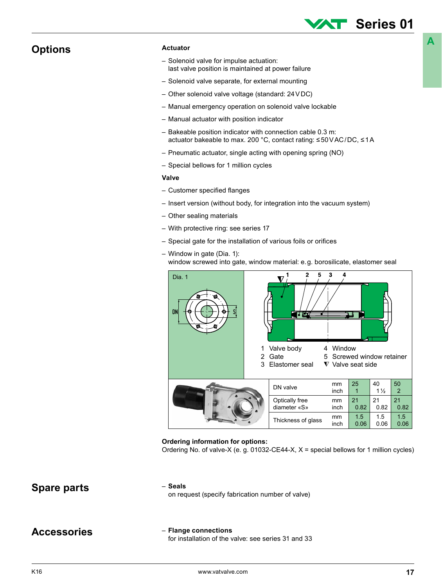## **Options**

#### **Actuator**

- Solenoid valve for impulse actuation: last valve position is maintained at power failure
- Solenoid valve separate, for external mounting
- Other solenoid valve voltage (standard: 24VDC)
- Manual emergency operation on solenoid valve lockable
- Manual actuator with position indicator
- Bakeable position indicator with connection cable 0.3 m: actuator bakeable to max. 200 °C, contact rating: ≤50VAC/DC, ≤1A
- Pneumatic actuator, single acting with opening spring (NO)
- Special bellows for 1 million cycles

#### **Valve**

- Customer specified flanges
- Insert version (without body, for integration into the vacuum system)
- Other sealing materials
- With protective ring: see series 17
- Special gate for the installation of various foils or orifices
- Window in gate (Dia. 1): window screwed into gate, window material: e.g. borosilicate, elastomer seal



#### **Ordering information for options:**

Ordering No. of valve-X (e. g. 01032-CE44-X,  $X =$  special bellows for 1 million cycles)

### – **Seals**

**Spare parts Spare Parts Spare parts Spare parts Spare 1 Spare is the contract of value** on request (specify fabrication number of valve)

### **Accessories**

### – **Flange connections**

for installation of the valve: see series 31 and 33

**A**

**Series 01**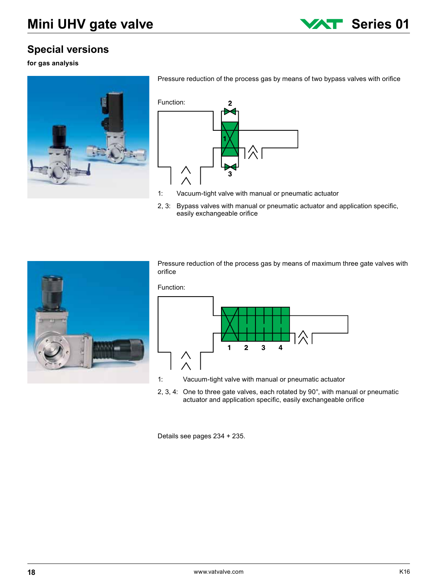

# **Special versions**

#### **for gas analysis**



Pressure reduction of the process gas by means of two bypass valves with orifice



- 1: Vacuum-tight valve with manual or pneumatic actuator
- 2, 3: Bypass valves with manual or pneumatic actuator and application specific, easily exchangeable orifice



Pressure reduction of the process gas by means of maximum three gate valves with orifice



- 1: Vacuum-tight valve with manual or pneumatic actuator
- 2, 3, 4: One to three gate valves, each rotated by 90°, with manual or pneumatic actuator and application specific, easily exchangeable orifice

Details see pages 234 + 235.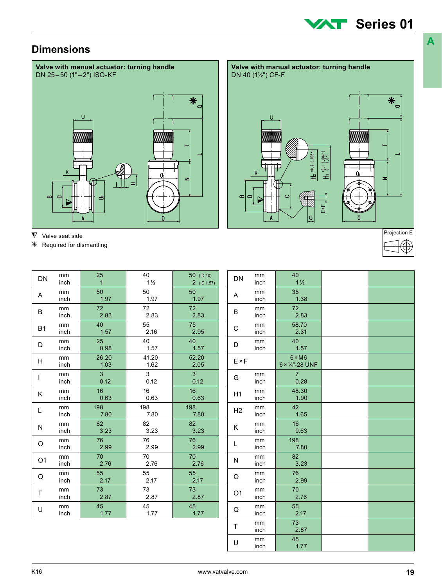# **XXT** Series 01

**A**

# **Dimensions**



| DN             | mm   | 25              | 40             | 50 (ID 40)      |
|----------------|------|-----------------|----------------|-----------------|
|                | inch | $\overline{1}$  | $1\frac{1}{2}$ | $2$ (ID 1.57)   |
| A              | mm   | 50              | 50             | 50              |
|                | inch | 1.97            | 1.97           | 1.97            |
| B              | mm   | 72 <sup>2</sup> | 72             | 72              |
|                | inch | 2.83            | 2.83           | 2.83            |
| <b>B1</b>      | mm   | 40              | 55             | 75              |
|                | inch | 1.57            | 2.16           | 2.95            |
| D              | mm   | 25 <sub>2</sub> | 40             | 40              |
|                | inch | 0.98            | 1.57           | 1.57            |
| н              | mm   | 26.20           | 41.20          | 52.20           |
|                | inch | 1.03            | 1.62           | 2.05            |
| $\mathsf{I}$   | mm   | 3 <sup>1</sup>  | 3              | 3 <sup>1</sup>  |
|                | inch | 0.12            | 0.12           | 0.12            |
| Κ              | mm   | 16 <sup>1</sup> | 16             | 16 <sup>1</sup> |
|                | inch | 0.63            | 0.63           | 0.63            |
| L              | mm   | 198             | 198            | 198             |
|                | inch | 7.80            | 7.80           | 7.80            |
| Ν              | mm   | 82              | 82             | 82              |
|                | inch | 3.23            | 3.23           | 3.23            |
| O              | mm   | 76              | 76             | 76              |
|                | inch | 2.99            | 2.99           | 2.99            |
| O <sub>1</sub> | mm   | 70              | 70             | 70              |
|                | inch | 2.76            | 2.76           | 2.76            |
| Q              | mm   | 55              | 55             | 55              |
|                | inch | 2.17            | 2.17           | 2.17            |
| T              | mm   | 73              | 73             | 73              |
|                | inch | 2.87            | 2.87           | 2.87            |
| U              | mm   | 45              | 45             | 45              |
|                | inch | 1.77            | 1.77           | 1.77            |

| DN             | mm<br>inch | 40<br>$1\frac{1}{2}$             |  |
|----------------|------------|----------------------------------|--|
| A              | mm<br>inch | 35<br>1.38                       |  |
| B              | mm<br>inch | 72<br>2.83                       |  |
| С              | mm<br>inch | 58.70<br>2.31                    |  |
| D              | mm<br>inch | 40<br>1.57                       |  |
| $E \times F$   |            | $6 \times M6$<br>6 × 1/4"-28 UNF |  |
| G              | mm<br>inch | $\overline{7}$<br>0.28           |  |
| H1             | mm<br>inch | 48.30<br>1.90                    |  |
| H <sub>2</sub> | mm<br>inch | 42<br>1.65                       |  |
| K              | mm<br>inch | 16<br>0.63                       |  |
| L              | mm<br>inch | 198<br>7.80                      |  |
| N              | mm<br>inch | 82<br>3.23                       |  |
| O              | mm<br>inch | 76<br>2.99                       |  |
| O <sub>1</sub> | mm<br>inch | 70<br>2.76                       |  |
| Q              | mm<br>inch | 55<br>2.17                       |  |
| T              | mm<br>inch | 73<br>2.87                       |  |
| U              | mm<br>inch | 45<br>1.77                       |  |
|                |            |                                  |  |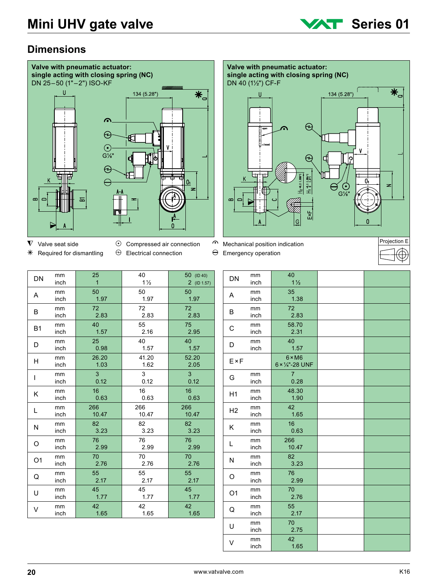

# **Dimensions**





- 
- 
- 
- $*$  Required for dismantling  $\Theta$  Electrical connection  $\Theta$  Emergency operation



| rojection E |  |
|-------------|--|
|             |  |

| DN             | mm<br>inch | 25<br>$\mathbf{1}$ | 40<br>$1\frac{1}{2}$ | 50 (ID 40)      |
|----------------|------------|--------------------|----------------------|-----------------|
|                |            |                    |                      | $2$ (ID 1.57)   |
|                | mm         | 50                 | 50                   | 50              |
| A              | inch       | 1.97               | 1.97                 | 1.97            |
|                | mm         | 72 <sub>2</sub>    | 72                   | 72 <sup>°</sup> |
| B              | inch       | 2.83               | 2.83                 | 2.83            |
|                | mm         | 40                 | 55                   | 75              |
| B <sub>1</sub> | inch       | 1.57               | 2.16                 | 2.95            |
|                | mm         | 25                 | 40                   | 40              |
| D              | inch       | 0.98               | 1.57                 | 1.57            |
|                | mm         | 26.20              | 41.20                | 52.20           |
| н              | inch       | 1.03               | 1.62                 | 2.05            |
|                |            |                    |                      |                 |
| $\overline{1}$ | mm         | $\overline{3}$     | 3                    | $\overline{3}$  |
|                | inch       | 0.12               | 0.12                 | 0.12            |
| ĸ              | mm         | 16 <sup>1</sup>    | 16                   | 16 <sup>°</sup> |
|                | inch       | 0.63               | 0.63                 | 0.63            |
|                | mm         | 266                | 266                  | 266             |
| L              | inch       | 10.47              | 10.47                | 10.47           |
|                | mm         | 82                 | 82                   | 82              |
| N              | inch       | 3.23               | 3.23                 | 3.23            |
|                | mm         | 76                 | 76                   | 76              |
| O              | inch       | 2.99               | 2.99                 | 2.99            |
|                | mm         | 70                 | 70                   | 70              |
| O <sub>1</sub> | inch       | 2.76               | 2.76                 | 2.76            |
|                | mm         | 55                 | 55                   | 55              |
| Q              | inch       | 2.17               | 2.17                 | 2.17            |
|                | mm         | 45                 | 45                   | 45              |
| U              | inch       | 1.77               | 1.77                 | 1.77            |
|                | mm         | 42                 | 42                   | 42              |
| V              | inch       | 1.65               | 1.65                 | 1.65            |
|                |            |                    |                      |                 |

| DN             | mm<br>inch | 40<br>$1\frac{1}{2}$             |  |
|----------------|------------|----------------------------------|--|
| A              | mm<br>inch | 35<br>1.38                       |  |
| B              | mm<br>inch | 72<br>2.83                       |  |
| C              | mm<br>inch | 58.70<br>2.31                    |  |
| D              | mm<br>inch | 40<br>1.57                       |  |
| $E \times F$   |            | $6 \times M6$<br>6 × 1/4"-28 UNF |  |
| G              | mm<br>inch | $\overline{7}$<br>0.28           |  |
| H1             | mm<br>inch | 48.30<br>1.90                    |  |
| H <sub>2</sub> | mm<br>inch | 42<br>1.65                       |  |
| K              | mm<br>inch | 16<br>0.63                       |  |
| L              | mm<br>inch | 266<br>10.47                     |  |
| N              | mm<br>inch | 82<br>3.23                       |  |
| O              | mm<br>inch | 76<br>2.99                       |  |
| O <sub>1</sub> | mm<br>inch | 70<br>2.76                       |  |
| Q              | mm<br>inch | 55<br>2.17                       |  |
| U              | mm<br>inch | 70<br>2.75                       |  |
| V              | mm<br>inch | 42<br>1.65                       |  |